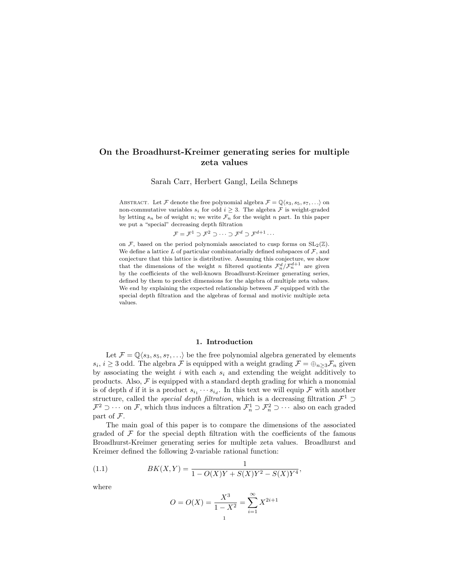# On the Broadhurst-Kreimer generating series for multiple zeta values

Sarah Carr, Herbert Gangl, Leila Schneps

ABSTRACT. Let F denote the free polynomial algebra  $\mathcal{F} = \mathbb{Q}\langle s_3, s_5, s_7, \ldots \rangle$  on non-commutative variables  $s_i$  for odd  $i \geq 3$ . The algebra  $\mathcal F$  is weight-graded by letting  $s_n$  be of weight n; we write  $\mathcal{F}_n$  for the weight n part. In this paper we put a "special" decreasing depth filtration

$$
\mathcal{F} = \mathcal{F}^1 \supset \mathcal{F}^2 \supset \cdots \supset \mathcal{F}^d \supset \mathcal{F}^{d+1} \cdots
$$

on F, based on the period polynomials associated to cusp forms on  $SL_2(\mathbb{Z})$ . We define a lattice  $L$  of particular combinatorially defined subspaces of  $\mathcal{F}$ , and conjecture that this lattice is distributive. Assuming this conjecture, we show that the dimensions of the weight n filtered quotients  $\mathcal{F}_n^d / \mathcal{F}_n^{d+1}$  are given by the coefficients of the well-known Broadhurst-Kreimer generating series, defined by them to predict dimensions for the algebra of multiple zeta values. We end by explaining the expected relationship between  $\mathcal F$  equipped with the special depth filtration and the algebras of formal and motivic multiple zeta values.

#### 1. Introduction

Let  $\mathcal{F} = \mathbb{Q}\langle s_3, s_5, s_7, \ldots \rangle$  be the free polynomial algebra generated by elements  $s_i, i \geq 3$  odd. The algebra F is equipped with a weight grading  $\mathcal{F} = \bigoplus_{n \geq 3} \mathcal{F}_n$  given by associating the weight i with each  $s_i$  and extending the weight additively to products. Also,  $F$  is equipped with a standard depth grading for which a monomial is of depth d if it is a product  $s_{i_1} \cdots s_{i_d}$ . In this text we will equip  $\mathcal F$  with another structure, called the *special depth filtration*, which is a decreasing filtration  $\mathcal{F}^1$  $\mathcal{F}^2 \supset \cdots$  on  $\mathcal{F}$ , which thus induces a filtration  $\mathcal{F}^1_n \supset \mathcal{F}^2_n \supset \cdots$  also on each graded part of F.

The main goal of this paper is to compare the dimensions of the associated graded of  $\mathcal F$  for the special depth filtration with the coefficients of the famous Broadhurst-Kreimer generating series for multiple zeta values. Broadhurst and Kreimer defined the following 2-variable rational function:

(1.1) 
$$
BK(X,Y) = \frac{1}{1 - O(X)Y + S(X)Y^2 - S(X)Y^4},
$$

where

$$
O = O(X) = \frac{X^3}{1 - X^2} = \sum_{i=1}^{\infty} X^{2i+1}
$$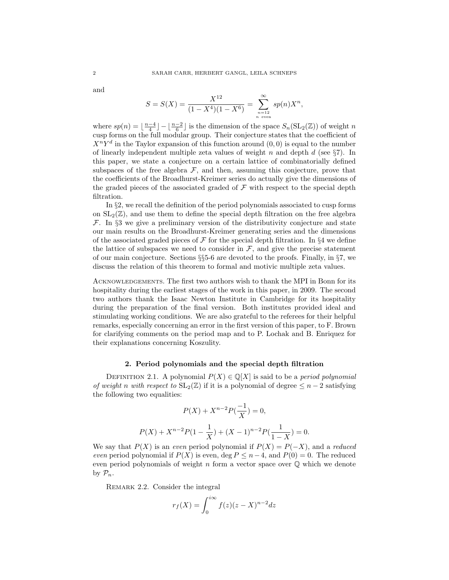and

$$
S = S(X) = \frac{X^{12}}{(1 - X^4)(1 - X^6)} = \sum_{\substack{n=12 \ n \text{ even}}}^{\infty} sp(n)X^n,
$$

where  $sp(n) = \lfloor \frac{n-4}{4} \rfloor - \lfloor \frac{n-2}{6} \rfloor$  is the dimension of the space  $S_n(\text{SL}_2(\mathbb{Z}))$  of weight n cusp forms on the full modular group. Their conjecture states that the coefficient of  $X^nY^d$  in the Taylor expansion of this function around  $(0,0)$  is equal to the number of linearly independent multiple zeta values of weight  $n$  and depth  $d$  (see §7). In this paper, we state a conjecture on a certain lattice of combinatorially defined subspaces of the free algebra  $\mathcal{F}$ , and then, assuming this conjecture, prove that the coefficients of the Broadhurst-Kreimer series do actually give the dimensions of the graded pieces of the associated graded of  $\mathcal F$  with respect to the special depth filtration.

In §2, we recall the definition of the period polynomials associated to cusp forms on  $SL_2(\mathbb{Z})$ , and use them to define the special depth filtration on the free algebra  $\mathcal{F}$ . In §3 we give a preliminary version of the distributivity conjecture and state our main results on the Broadhurst-Kreimer generating series and the dimensions of the associated graded pieces of  $\mathcal F$  for the special depth filtration. In §4 we define the lattice of subspaces we need to consider in  $\mathcal{F}$ , and give the precise statement of our main conjecture. Sections §§5-6 are devoted to the proofs. Finally, in §7, we discuss the relation of this theorem to formal and motivic multiple zeta values.

ACKNOWLEDGEMENTS. The first two authors wish to thank the MPI in Bonn for its hospitality during the earliest stages of the work in this paper, in 2009. The second two authors thank the Isaac Newton Institute in Cambridge for its hospitality during the preparation of the final version. Both institutes provided ideal and stimulating working conditions. We are also grateful to the referees for their helpful remarks, especially concerning an error in the first version of this paper, to F. Brown for clarifying comments on the period map and to P. Lochak and B. Enriquez for their explanations concerning Koszulity.

#### 2. Period polynomials and the special depth filtration

DEFINITION 2.1. A polynomial  $P(X) \in \mathbb{Q}[X]$  is said to be a *period polynomial* of weight n with respect to  $SL_2(\mathbb{Z})$  if it is a polynomial of degree  $\leq n-2$  satisfying the following two equalities:

$$
P(X) + X^{n-2}P(\frac{-1}{X}) = 0,
$$
  

$$
P(X) + X^{n-2}P(1 - \frac{1}{X}) + (X - 1)^{n-2}P(\frac{1}{1 - X}) = 0.
$$

We say that  $P(X)$  is an even period polynomial if  $P(X) = P(-X)$ , and a reduced even period polynomial if  $P(X)$  is even, deg  $P \leq n-4$ , and  $P(0) = 0$ . The reduced even period polynomials of weight n form a vector space over  $\mathbb{O}$  which we denote by  $\mathcal{P}_n$ .

REMARK 2.2. Consider the integral

$$
r_f(X) = \int_0^{i\infty} f(z)(z - X)^{n-2} dz
$$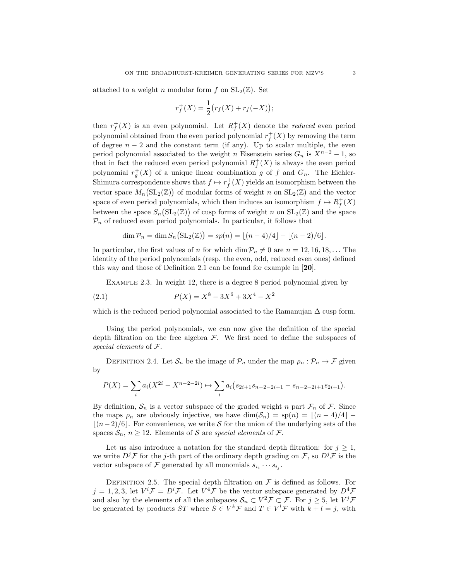attached to a weight n modular form f on  $SL_2(\mathbb{Z})$ . Set

$$
r_f^+(X) = \frac{1}{2} (r_f(X) + r_f(-X));
$$

then  $r_f^+(X)$  is an even polynomial. Let  $R_f^+(X)$  denote the *reduced* even period polynomial obtained from the even period polynomial  $r_f^+(X)$  by removing the term of degree  $n-2$  and the constant term (if any). Up to scalar multiple, the even period polynomial associated to the weight n Eisenstein series  $G_n$  is  $X^{n-2} - 1$ , so that in fact the reduced even period polynomial  $R_f^+(X)$  is always the even period polynomial  $r_g^+(X)$  of a unique linear combination g of f and  $G_n$ . The Eichler-Shimura correspondence shows that  $f \mapsto r_f^+(X)$  yields an isomorphism between the vector space  $M_n(\mathrm{SL}_2(\mathbb{Z}))$  of modular forms of weight n on  $\mathrm{SL}_2(\mathbb{Z})$  and the vector space of even period polynomials, which then induces an isomorphism  $f \mapsto R_f^+(X)$ between the space  $S_n(\mathit{{\rm SL}}_2(\mathbb{Z}))$  of cusp forms of weight n on  $\mathit{{\rm SL}}_2(\mathbb{Z})$  and the space  $\mathcal{P}_n$  of reduced even period polynomials. In particular, it follows that

$$
\dim \mathcal{P}_n = \dim S_n(\mathrm{SL}_2(\mathbb{Z})) = sp(n) = \lfloor (n-4)/4 \rfloor - \lfloor (n-2)/6 \rfloor.
$$

In particular, the first values of n for which dim  $\mathcal{P}_n \neq 0$  are  $n = 12, 16, 18, \ldots$  The identity of the period polynomials (resp. the even, odd, reduced even ones) defined this way and those of Definition 2.1 can be found for example in [20].

Example 2.3. In weight 12, there is a degree 8 period polynomial given by

(2.1) 
$$
P(X) = X^8 - 3X^6 + 3X^4 - X^2
$$

which is the reduced period polynomial associated to the Ramanujan  $\Delta$  cusp form.

Using the period polynomials, we can now give the definition of the special depth filtration on the free algebra  $\mathcal F$ . We first need to define the subspaces of special elements of F.

DEFINITION 2.4. Let  $S_n$  be the image of  $\mathcal{P}_n$  under the map  $\rho_n : \mathcal{P}_n \to \mathcal{F}$  given by

$$
P(X) = \sum_{i} a_i (X^{2i} - X^{n-2-2i}) \mapsto \sum_{i} a_i (s_{2i+1} s_{n-2-2i+1} - s_{n-2-2i+1} s_{2i+1}).
$$

By definition,  $S_n$  is a vector subspace of the graded weight n part  $\mathcal{F}_n$  of  $\mathcal{F}$ . Since the maps  $\rho_n$  are obviously injective, we have  $\dim(\mathcal{S}_n) = sp(n) = |(n - 4)/4|$  –  $\lfloor (n-2)/6 \rfloor$ . For convenience, we write S for the union of the underlying sets of the spaces  $S_n$ ,  $n \geq 12$ . Elements of S are special elements of F.

Let us also introduce a notation for the standard depth filtration: for  $j \geq 1$ , we write  $D<sup>j</sup>F$  for the j-th part of the ordinary depth grading on F, so  $D<sup>j</sup>F$  is the vector subspace of  $\mathcal F$  generated by all monomials  $s_{i_1} \cdots s_{i_j}$ .

DEFINITION 2.5. The special depth filtration on  $\mathcal F$  is defined as follows. For  $j = 1, 2, 3$ , let  $V^i \mathcal{F} = D^i \mathcal{F}$ . Let  $V^4 \mathcal{F}$  be the vector subspace generated by  $D^4 \mathcal{F}$ and also by the elements of all the subspaces  $S_n \subset V^2 \mathcal{F} \subset \mathcal{F}$ . For  $j \geq 5$ , let  $V^j \mathcal{F}$ be generated by products ST where  $S \in V^k \mathcal{F}$  and  $T \in V^l \mathcal{F}$  with  $k + l = j$ , with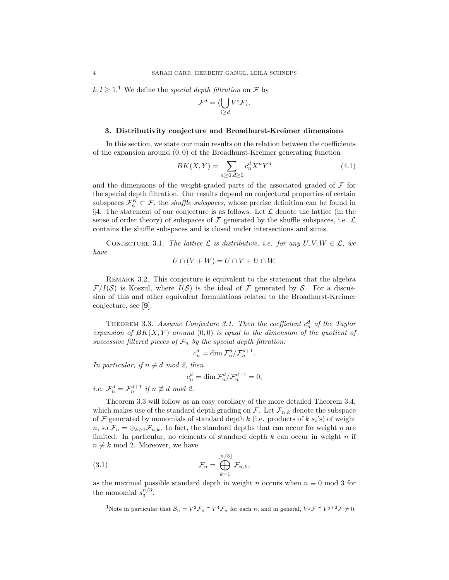$k, l > 1$ <sup>1</sup>. We define the *special depth filtration* on  $\mathcal F$  by

$$
\mathcal{F}^d = \langle \bigcup_{i \geq d} V^i \mathcal{F} \rangle.
$$

#### 3. Distributivity conjecture and Broadhurst-Kreimer dimensions

In this section, we state our main results on the relation between the coefficients of the expansion around  $(0, 0)$  of the Broadhurst-Kreimer generating function

$$
BK(X,Y) = \sum_{n\geq 0, d\geq 0} c_n^d X^n Y^d \tag{4.1}
$$

and the dimensions of the weight-graded parts of the associated graded of  $\mathcal F$  for the special depth filtration. Our results depend on conjectural properties of certain subspaces  $\mathcal{F}_n^K \subset \mathcal{F}$ , the *shuffle subspaces*, whose precise definition can be found in §4. The statement of our conjecture is as follows. Let  $\mathcal L$  denote the lattice (in the sense of order theory) of subspaces of  $\mathcal F$  generated by the shuffle subspaces, i.e.  $\mathcal L$ contains the shuffle subspaces and is closed under intersections and sums.

CONJECTURE 3.1. The lattice  $\mathcal L$  is distributive, i.e. for any  $U, V, W \in \mathcal L$ , we have

$$
U \cap (V + W) = U \cap V + U \cap W.
$$

REMARK 3.2. This conjecture is equivalent to the statement that the algebra  $\mathcal{F}/I(\mathcal{S})$  is Koszul, where  $I(\mathcal{S})$  is the ideal of F generated by S. For a discussion of this and other equivalent formulations related to the Broadhurst-Kreimer conjecture, see [9].

THEOREM 3.3. Assume Conjecture 3.1. Then the coefficient  $c_n^d$  of the Taylor expansion of  $BK(X, Y)$  around  $(0, 0)$  is equal to the dimension of the quotient of successive filtered pieces of  $\mathcal{F}_n$  by the special depth filtration:

$$
c_n^d = \dim \mathcal{F}_n^d / \mathcal{F}_n^{d+1}.
$$

In particular, if  $n \not\equiv d \mod 2$ , then

$$
c_n^d = \dim \mathcal{F}_n^d / \mathcal{F}_n^{d+1} = 0,
$$

*i.e.*  $\mathcal{F}_n^d = \mathcal{F}_n^{d+1}$  if  $n \not\equiv d \mod 2$ .

Theorem 3.3 will follow as an easy corollary of the more detailed Theorem 3.4, which makes use of the standard depth grading on  $\mathcal{F}$ . Let  $\mathcal{F}_{n,k}$  denote the subspace of  $\mathcal F$  generated by monomials of standard depth  $k$  (i.e. products of  $k$   $s_i$ 's) of weight n, so  $\mathcal{F}_n = \bigoplus_{k>1} \mathcal{F}_{n,k}$ . In fact, the standard depths that can occur for weight n are limited. In particular, no elements of standard depth  $k$  can occur in weight  $n$  if  $n \not\equiv k \mod 2$ . Moreover, we have

(3.1) 
$$
\mathcal{F}_n = \bigoplus_{k=1}^{\lfloor n/3 \rfloor} \mathcal{F}_{n,k},
$$

as the maximal possible standard depth in weight n occurs when  $n \equiv 0 \mod 3$  for the monomial  $s_3^{n/3}$ .

<sup>&</sup>lt;sup>1</sup>Note in particular that  $S_n = V^2 \mathcal{F}_n \cap V^4 \mathcal{F}_n$  for each *n*, and in general,  $V^j \mathcal{F} \cap V^{j+2} \mathcal{F} \neq 0$ .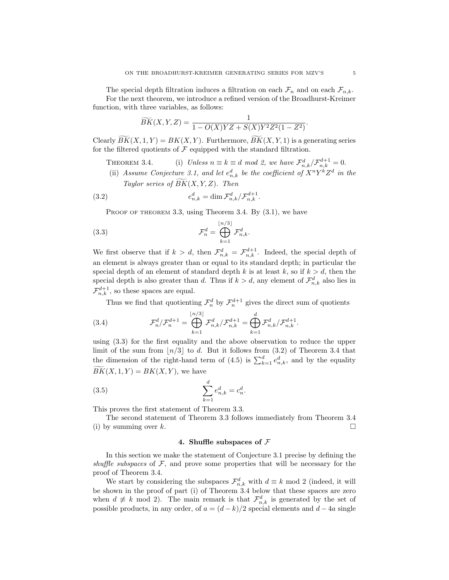The special depth filtration induces a filtration on each  $\mathcal{F}_n$  and on each  $\mathcal{F}_{n,k}$ . For the next theorem, we introduce a refined version of the Broadhurst-Kreimer

function, with three variables, as follows:

$$
\widetilde{BK}(X, Y, Z) = \frac{1}{1 - O(X)YZ + S(X)Y^2Z^2(1 - Z^2)}.
$$

Clearly  $BK(X, 1, Y) = BK(X, Y)$ . Furthermore,  $BK(X, Y, 1)$  is a generating series for the filtered quotients of  $\mathcal F$  equipped with the standard filtration.

- THEOREM 3.4. (i) Unless  $n \equiv k \equiv d \mod 2$ , we have  $\mathcal{F}_{n,k}^d / \mathcal{F}_{n,k}^{d+1} = 0$ .
- (ii) Assume Conjecture 3.1, and let  $e_{n,k}^d$  be the coefficient of  $X^nY^kZ^d$  in the Taylor series of  $\overline{BK}(X, Y, Z)$ . Then

(3.2) 
$$
e_{n,k}^d = \dim \mathcal{F}_{n,k}^d / \mathcal{F}_{n,k}^{d+1}.
$$

PROOF OF THEOREM 3.3, using Theorem 3.4. By  $(3.1)$ , we have

(3.3) 
$$
\mathcal{F}_n^d = \bigoplus_{k=1}^{\lfloor n/3 \rfloor} \mathcal{F}_{n,k}^d.
$$

We first observe that if  $k > d$ , then  $\mathcal{F}^d_{n,k} = \mathcal{F}^{d+1}_{n,k}$ . Indeed, the special depth of an element is always greater than or equal to its standard depth; in particular the special depth of an element of standard depth k is at least  $k$ , so if  $k > d$ , then the special depth is also greater than d. Thus if  $k > d$ , any element of  $\mathcal{F}^d_{n,k}$  also lies in  $\mathcal{F}_{n,k}^{d+1}$ , so these spaces are equal.

Thus we find that quotienting  $\mathcal{F}_n^d$  by  $\mathcal{F}_n^{d+1}$  gives the direct sum of quotients

(3.4) 
$$
\mathcal{F}_n^d / \mathcal{F}_n^{d+1} = \bigoplus_{k=1}^{\lfloor n/3 \rfloor} \mathcal{F}_{n,k}^d / \mathcal{F}_{n,k}^{d+1} = \bigoplus_{k=1}^d \mathcal{F}_{n,k}^d / \mathcal{F}_{n,k}^{d+1}.
$$

using (3.3) for the first equality and the above observation to reduce the upper limit of the sum from  $|n/3|$  to d. But it follows from (3.2) of Theorem 3.4 that the dimension of the right-hand term of (4.5) is  $\sum_{k=1}^{d} e_{n,k}^{d}$ , and by the equality  $\widetilde{BK}(X, 1, Y) = BK(X, Y)$ , we have

(3.5) 
$$
\sum_{k=1}^{d} e_{n,k}^{d} = c_{n}^{d}.
$$

This proves the first statement of Theorem 3.3.

The second statement of Theorem 3.3 follows immediately from Theorem 3.4 (i) by summing over k.  $\square$ 

## 4. Shuffle subspaces of  $\mathcal F$

In this section we make the statement of Conjecture 3.1 precise by defining the shuffle subspaces of  $\mathcal{F}$ , and prove some properties that will be necessary for the proof of Theorem 3.4.

We start by considering the subspaces  $\mathcal{F}^d_{n,k}$  with  $d \equiv k \mod 2$  (indeed, it will be shown in the proof of part (i) of Theorem 3.4 below that these spaces are zero when  $d \not\equiv k \mod 2$ . The main remark is that  $\mathcal{F}^d_{n,k}$  is generated by the set of possible products, in any order, of  $a = (d - k)/2$  special elements and  $d - 4a$  single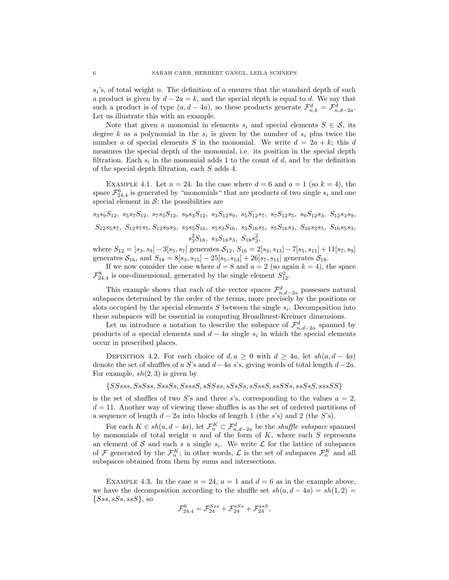$s_i$ 's, of total weight n. The definition of a ensures that the standard depth of such a product is given by  $d - 2a = k$ , and the special depth is equal to d. We say that such a product is of type  $(a, d - 4a)$ , so these products generate  $\mathcal{F}^d_{n,k} = \mathcal{F}^d_{n,d-2a}$ . Let us illustrate this with an example.

Note that given a monomial in elements  $s_i$  and special elements  $S \in \mathcal{S}$ , its degree k as a polynomial in the  $s_i$  is given by the number of  $s_i$  plus twice the number a of special elements S in the monomial. We write  $d = 2a + k$ ; this d measures the special depth of the monomial, i.e. its position in the special depth filtration. Each  $s_i$  in the monomial adds 1 to the count of d, and by the definition of the special depth filtration, each S adds 4.

EXAMPLE 4.1. Let  $n = 24$ . In the case where  $d = 6$  and  $a = 1$  (so  $k = 4$ ), the space  $\mathcal{F}_{24,4}^6$  is generated by "monomials" that are products of two single  $s_i$  and one special element in  $S$ ; the possibilities are

 $s_3s_9S_{12}, s_5s_7S_{12}, s_7s_5S_{12}, s_9s_3S_{12}, s_3S_{12}s_9, s_5S_{12}s_7, s_7S_{12}s_5, s_9S_{12}s_3, S_{12}s_3s_9,$  $S_{12}s_{5}s_{7}$ ,  $S_{12}s_{7}s_{5}$ ,  $S_{12}s_{9}s_{3}$ ,  $s_{3}s_{5}S_{16}$ ,  $s_{5}s_{3}S_{16}$ ,  $s_{3}S_{16}s_{5}$ ,  $s_{5}s_{16}s_{3}$ ,  $S_{16}s_{3}s_{5}$ ,  $S_{16}s_{5}s_{3}$ ,  $s_3^2S_{18}, s_3S_{18}s_3, S_{18}s_3^2,$ 

where  $S_{12} = [s_3, s_9] - 3[s_5, s_7]$  generates  $S_{12}$ ,  $S_{16} = 2[s_3, s_{13}] - 7[s_5, s_{11}] + 11[s_7, s_9]$ generates  $S_{16}$ , and  $S_{18} = 8[s_3, s_{15}] - 25[s_5, s_{13}] + 26[s_7, s_{11}]$  generates  $S_{18}$ .

If we now consider the case where  $d = 8$  and  $a = 2$  (so again  $k = 4$ ), the space  $\mathcal{F}_{24,4}^8$  is one-dimensional, generated by the single element  $S_{12}^2$ .

This example shows that each of the vector spaces  $\mathcal{F}^d_{n,d-2a}$  possesses natural subspaces determined by the order of the terms, more precisely by the positions or slots occupied by the special elements  $S$  between the single  $s_i$ . Decomposition into these subspaces will be essential in computing Broadhurst-Kreimer dimensions.

Let us introduce a notation to describe the subspace of  $\mathcal{F}^d_{n,d-2a}$  spanned by products of a special elements and  $d - 4a$  single  $s_i$  in which the special elements occur in prescribed places.

DEFINITION 4.2. For each choice of  $d, a \geq 0$  with  $d \geq 4a$ , let  $sh(a, d - 4a)$ denote the set of shuffles of a S's and  $d-4a$  s's, giving words of total length  $d-2a$ . For example,  $sh(2, 3)$  is given by

 $\{SSsss, SSSss, SssSSs, SsssS, sSSSSs, sSSSSs, sSSssS, sSSSSs, sssSSS\}$ 

is the set of shuffles of two S's and three s's, corresponding to the values  $a = 2$ ,  $d = 11$ . Another way of viewing these shuffles is as the set of ordered partitions of a sequence of length  $d - 2a$  into blocks of length 1 (the s's) and 2 (the S's).

For each  $K \in sh(a, d-4a)$ , let  $\mathcal{F}_n^K \subset \mathcal{F}_{n,d-2a}^d$  be the *shuffle subspace* spanned by monomials of total weight n and of the form of  $K$ , where each  $S$  represents an element of S and each s a single  $s_i$ . We write  $\mathcal L$  for the lattice of subspaces of F generated by the  $\mathcal{F}_n^K$ ; in other words,  $\mathcal{L}$  is the set of subspaces  $\mathcal{F}_n^K$  and all subspaces obtained from them by sums and intersections.

EXAMPLE 4.3. In the case  $n = 24$ ,  $a = 1$  and  $d = 6$  as in the example above, we have the decomposition according to the shuffle set  $sh(a, d - 4a) = sh(1, 2) =$  $\{Sss, sSs, ssS\}$ , so

$$
\mathcal{F}_{24,4}^6 = \mathcal{F}_{24}^{Sss} + \mathcal{F}_{24}^{sSs} + \mathcal{F}_{24}^{ssS},
$$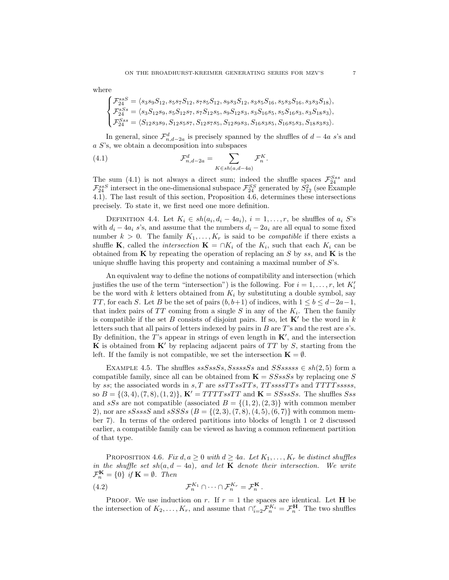where

$$
\begin{cases} \mathcal{F}^{ssS}_{24}=\langle s_3s_9S_{12},s_5s_7S_{12},s_7s_5S_{12},s_9s_3S_{12},s_3s_5S_{16},s_5s_3S_{16},s_3s_3S_{18}\rangle, \\ \mathcal{F}^{SS}_{24}=\langle s_3S_{12}s_9,s_5S_{12}s_7,s_7S_{12}s_5,s_9S_{12}s_3,s_3S_{16}s_5,s_5S_{16}s_3,s_3S_{18}s_3\rangle, \\ \mathcal{F}^{Sss}_{24}=\langle S_{12}s_3s_9,S_{12}s_5s_7,S_{12}s_7s_5,S_{12}s_9s_3,S_{16}s_3s_5,S_{16}s_5s_3,S_{18}s_3s_3\rangle. \end{cases}
$$

In general, since  $\mathcal{F}^d_{n,d-2a}$  is precisely spanned by the shuffles of  $d-4a$  s's and a S's, we obtain a decomposition into subspaces

(4.1) 
$$
\mathcal{F}_{n,d-2a}^d = \sum_{K \in sh(a,d-4a)} \mathcal{F}_n^K.
$$

The sum (4.1) is not always a direct sum; indeed the shuffle spaces  $\mathcal{F}_{24}^{Sss}$  and  $\mathcal{F}^{ssS}_{24}$  intersect in the one-dimensional subspace  $\mathcal{F}^{SS}_{24}$  generated by  $S^2_{12}$  (see Example 4.1). The last result of this section, Proposition 4.6, determines these intersections precisely. To state it, we first need one more definition.

DEFINITION 4.4. Let  $K_i \in sh(a_i, d_i - 4a_i), i = 1, \ldots, r$ , be shuffles of  $a_i$  S's with  $d_i - 4a_i$  s's, and assume that the numbers  $d_i - 2a_i$  are all equal to some fixed number  $k > 0$ . The family  $K_1, \ldots, K_r$  is said to be *compatible* if there exists a shuffle **K**, called the *intersection* **K** = ∩ $K_i$  of the  $K_i$ , such that each  $K_i$  can be obtained from  $\bf{K}$  by repeating the operation of replacing an S by ss, and  $\bf{K}$  is the unique shuffle having this property and containing a maximal number of  $S$ 's.

An equivalent way to define the notions of compatibility and intersection (which justifies the use of the term "intersection") is the following. For  $i = 1, \ldots, r$ , let  $K_i'$ be the word with k letters obtained from  $K_i$  by substituting a double symbol, say TT, for each S. Let B be the set of pairs  $(b, b+1)$  of indices, with  $1 \leq b \leq d-2a-1$ , that index pairs of  $TT$  coming from a single S in any of the  $K_i$ . Then the family is compatible if the set B consists of disjoint pairs. If so, let  $\mathbf{K}'$  be the word in k letters such that all pairs of letters indexed by pairs in  $B$  are  $T$ 's and the rest are  $s$ 's. By definition, the  $T$ 's appear in strings of even length in  $K'$ , and the intersection K is obtained from  $K'$  by replacing adjacent pairs of  $TT$  by S, starting from the left. If the family is not compatible, we set the intersection  $\mathbf{K} = \emptyset$ .

EXAMPLE 4.5. The shuffles  $ssSssSs$ ,  $SssssSs$  and  $SSsssss \in sh(2,5)$  form a compatible family, since all can be obtained from  $\mathbf{K} = SSssSs$  by replacing one S by ss; the associated words in  $s, T$  are  $ssTTssTTs$ ,  $TTssssTTs$  and  $TTTTsssss$ , so  $B = \{(3, 4), (7, 8), (1, 2)\}\,$  K' = TTTTssTT and K = SSssSs. The shuffles Sss and sSs are not compatible (associated  $B = \{(1, 2), (2, 3)\}\$  with common member 2), nor are sSsssS and sSSSs  $(B = \{(2, 3), (7, 8), (4, 5), (6, 7)\}\)$  with common member 7). In terms of the ordered partitions into blocks of length 1 or 2 discussed earlier, a compatible family can be viewed as having a common refinement partition of that type.

PROPOSITION 4.6. Fix  $d, a \geq 0$  with  $d \geq 4a$ . Let  $K_1, \ldots, K_r$  be distinct shuffles in the shuffle set sh(a, d – 4a), and let **K** denote their intersection. We write  $\mathcal{F}_n^{\mathbf{K}} = \{0\}$  if  $\mathbf{K} = \emptyset$ . Then

(4.2) 
$$
\mathcal{F}_n^{K_1} \cap \cdots \cap \mathcal{F}_n^{K_r} = \mathcal{F}_n^{\mathbf{K}}.
$$

**PROOF.** We use induction on r. If  $r = 1$  the spaces are identical. Let **H** be the intersection of  $K_2, \ldots, K_r$ , and assume that  $\bigcap_{i=2}^r \mathcal{F}_n^{K_i} = \mathcal{F}_n^{\mathbf{H}}$ . The two shuffles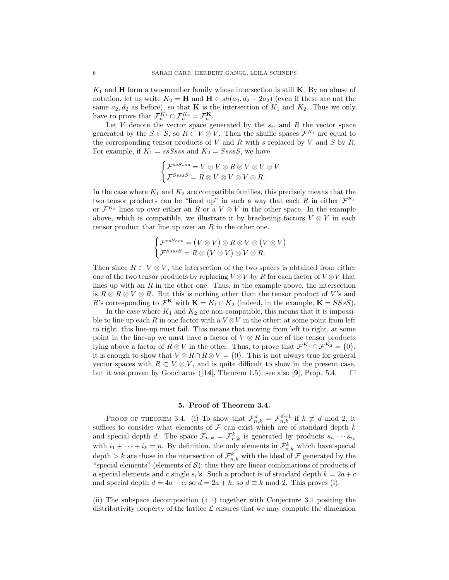$K_1$  and **H** form a two-member family whose intersection is still **K**. By an abuse of notation, let us write  $K_2 = H$  and  $H \in sh(a_2, d_2 - 2a_2)$  (even if these are not the same  $a_2, d_2$  as before), so that **K** is the intersection of  $K_1$  and  $K_2$ . Thus we only have to prove that  $\mathcal{F}_n^{K_1} \cap \mathcal{F}_n^{K_2} = \mathcal{F}_n^{K}$ .

Let V denote the vector space generated by the  $s_i$ , and R the vector space generated by the  $S \in \mathcal{S}$ , so  $R \subset V \otimes V$ . Then the shuffle spaces  $\mathcal{F}^{K_i}$  are equal to the corresponding tensor products of V and R with s replaced by V and S by R. For example, if  $K_1 = ssSsss$  and  $K_2 = SsssS$ , we have

$$
\begin{cases}\n\mathcal{F}^{ssSsss} = V \otimes V \otimes R \otimes V \otimes V \otimes V \\
\mathcal{F}^{Ssss} = R \otimes V \otimes V \otimes V \otimes R.\n\end{cases}
$$

In the case where  $K_1$  and  $K_2$  are compatible families, this precisely means that the two tensor products can be "lined up" in such a way that each R in either  $\mathcal{F}^{K_1}$ or  $\mathcal{F}^{K_2}$  lines up over either an R or a  $V \otimes V$  in the other space. In the example above, which is compatible, we illustrate it by bracketing factors  $V \otimes V$  in each tensor product that line up over an  $R$  in the other one.

$$
\begin{cases}\n\mathcal{F}^{ssSsss} = (V \otimes V) \otimes R \otimes V \otimes (V \otimes V) \\
\mathcal{F}^{Ssss} = R \otimes (V \otimes V) \otimes V \otimes R.\n\end{cases}
$$

Then since  $R \subset V \otimes V$ , the intersection of the two spaces is obtained from either one of the two tensor products by replacing  $V \otimes V$  by R for each factor of  $V \otimes V$  that lines up with an  $R$  in the other one. Thus, in the example above, the intersection is  $R \otimes R \otimes V \otimes R$ . But this is nothing other than the tensor product of V's and R's corresponding to  $\mathcal{F}^{\mathbf{K}}$  with  $\mathbf{K} = K_1 \cap K_2$  (indeed, in the example,  $\mathbf{K} = S S s S$ ).

In the case where  $K_1$  and  $K_2$  are non-compatible, this means that it is impossible to line up each R in one factor with a  $V \otimes V$  in the other; at some point from left to right, this line-up must fail. This means that moving from left to right, at some point in the line-up we must have a factor of  $V \otimes R$  in one of the tensor products lying above a factor of  $R \otimes V$  in the other. Thus, to prove that  $\mathcal{F}^{K_1} \cap \mathcal{F}^{K_2} = \{0\},\$ it is enough to show that  $V \otimes R \cap R \otimes V = \{0\}$ . This is not always true for general vector spaces with  $R \subset V \otimes V$ , and is quite difficult to show in the present case, but it was proven by Goncharov ([14], Theorem 1.5), see also [9], Prop. 5.4.  $\square$ 

#### 5. Proof of Theorem 3.4.

PROOF OF THEOREM 3.4. (i) To show that  $\mathcal{F}_{n,k}^d = \mathcal{F}_{n,k}^{d+1}$  if  $k \not\equiv d \mod 2$ , it suffices to consider what elements of  $\mathcal F$  can exist which are of standard depth k and special depth d. The space  $\mathcal{F}_{n,k} = \mathcal{F}_{n,k}^k$  is generated by products  $s_{i_1} \cdots s_{i_k}$ with  $i_1 + \cdots + i_k = n$ . By definition, the only elements in  $\mathcal{F}_{n,k}^k$  which have special depth > k are those in the intersection of  $\mathcal{F}^k_{n,k}$  with the ideal of  $\mathcal F$  generated by the "special elements" (elements of  $S$ ); thus they are linear combinations of products of a special elements and c single  $s_i$ 's. Such a product is of standard depth  $k = 2a + c$ and special depth  $d = 4a + c$ , so  $d = 2a + k$ , so  $d \equiv k \mod 2$ . This proves (i).

(ii) The subspace decomposition (4.1) together with Conjecture 3.1 positing the distributivity property of the lattice  $\mathcal L$  ensures that we may compute the dimension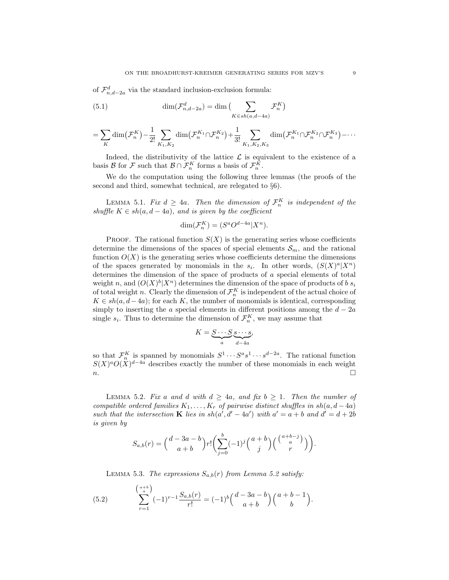of  $\mathcal{F}_{n,d-2a}^d$  via the standard inclusion-exclusion formula:

(5.1) 
$$
\dim(\mathcal{F}_{n,d-2a}^d) = \dim\left(\sum_{K \in sh(a,d-4a)} \mathcal{F}_n^K\right)
$$

$$
= \sum_{K} \dim(\mathcal{F}_{n}^{K}) - \frac{1}{2!} \sum_{K_{1}, K_{2}} \dim(\mathcal{F}_{n}^{K_{1}} \cap \mathcal{F}_{n}^{K_{2}}) + \frac{1}{3!} \sum_{K_{1}, K_{2}, K_{3}} \dim(\mathcal{F}_{n}^{K_{1}} \cap \mathcal{F}_{n}^{K_{2}} \cap \mathcal{F}_{n}^{K_{3}}) - \cdots
$$

Indeed, the distributivity of the lattice  $\mathcal L$  is equivalent to the existence of a basis  $\mathcal{B}$  for  $\mathcal{F}$  such that  $\mathcal{B} \cap \mathcal{F}_n^K$  forms a basis of  $\mathcal{F}_n^K$ .

We do the computation using the following three lemmas (the proofs of the second and third, somewhat technical, are relegated to §6).

LEMMA 5.1. Fix  $d \geq 4a$ . Then the dimension of  $\mathcal{F}_n^K$  is independent of the shuffle  $K \in sh(a, d - 4a)$ , and is given by the coefficient

$$
\dim(\mathcal{F}_n^K) = (S^a O^{d-4a} | X^n).
$$

PROOF. The rational function  $S(X)$  is the generating series whose coefficients determine the dimensions of the spaces of special elements  $S_m$ , and the rational function  $O(X)$  is the generating series whose coefficients determine the dimensions of the spaces generated by monomials in the  $s_i$ . In other words,  $(S(X)^a | X^n)$ determines the dimension of the space of products of a special elements of total weight n, and  $(O(X)^b | X^n)$  determines the dimension of the space of products of b s<sub>i</sub> of total weight n. Clearly the dimension of  $\mathcal{F}_n^K$  is independent of the actual choice of  $K \in sh(a, d-4a)$ ; for each K, the number of monomials is identical, corresponding simply to inserting the a special elements in different positions among the  $d - 2a$ single  $s_i$ . Thus to determine the dimension of  $\mathcal{F}_n^K$ , we may assume that

$$
K = \underbrace{S \cdots S}_{a} \underbrace{s \cdots s}_{d-4a},
$$

so that  $\mathcal{F}_n^K$  is spanned by monomials  $S^1 \cdots S^a s^1 \cdots s^{d-2a}$ . The rational function so that  $\mathcal{F}_n$  is spanned by monomials  $S \cdots S \cdots S$ . The rational function  $S(X)^a O(X)^{d-4a}$  describes exactly the number of these monomials in each weight  $n.$ 

LEMMA 5.2. Fix a and d with  $d \geq 4a$ , and fix  $b \geq 1$ . Then the number of compatible ordered families  $K_1, \ldots, K_r$  of pairwise distinct shuffles in  $sh(a, d-4a)$ such that the intersection **K** lies in  $sh(a', d' - 4a')$  with  $a' = a + b$  and  $d' = d + 2b$ is given by

$$
S_{a,b}(r) = {d-3a-b \choose a+b} r! \left(\sum_{j=0}^{b} (-1)^j {a+b \choose j} {a+b-j \choose a} \right).
$$

LEMMA 5.3. The expressions  $S_{a,b}(r)$  from Lemma 5.2 satisfy:

(5.2) 
$$
\sum_{r=1}^{a+b} (-1)^{r-1} \frac{S_{a,b}(r)}{r!} = (-1)^b {d-3a-b \choose a+b} {a+b-1 \choose b}.
$$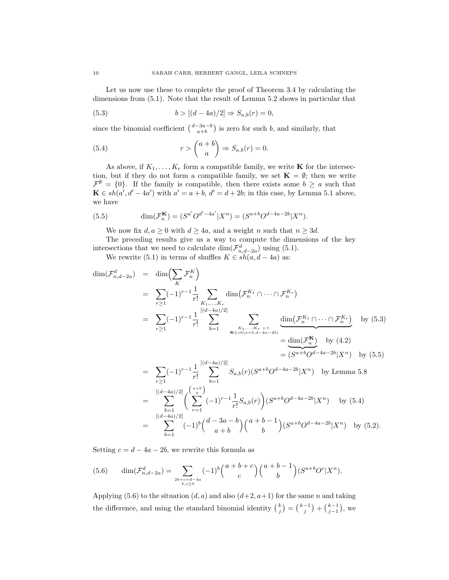Let us now use these to complete the proof of Theorem 3.4 by calculating the dimensions from (5.1). Note that the result of Lemma 5.2 shows in particular that

(5.3) 
$$
b > [(d - 4a)/2] \Rightarrow S_{a,b}(r) = 0,
$$

since the binomial coefficient  $\binom{d-3a-b}{a+b}$  is zero for such b, and similarly, that

(5.4) 
$$
r > \binom{a+b}{a} \Rightarrow S_{a,b}(r) = 0.
$$

As above, if  $K_1, \ldots, K_r$  form a compatible family, we write **K** for the intersection, but if they do not form a compatible family, we set  $\mathbf{K} = \emptyset$ ; then we write  $\mathcal{F}^{\emptyset} = \{0\}.$  If the family is compatible, then there exists some  $b \geq a$  such that  $\mathbf{K} \in sh(a', d' - 4a')$  with  $a' = a + b$ ,  $d' = d + 2b$ ; in this case, by Lemma 5.1 above, we have

(5.5) 
$$
\dim(\mathcal{F}_n^{\mathbf{K}}) = (S^{a'}O^{d'-4a'}|X^n) = (S^{a+b}O^{d-4a-2b}|X^n).
$$

We now fix  $d, a \geq 0$  with  $d \geq 4a$ , and a weight n such that  $n \geq 3d$ .

The preceding results give us a way to compute the dimensions of the key intersections that we need to calculate  $\dim(\mathcal{F}^d_{n,d-2a})$  using (5.1).

We rewrite (5.1) in terms of shuffles  $K \in sh(a, d - 4a)$  as:

$$
\dim(\mathcal{F}_{n,d-2a}^{d}) = \dim\left(\sum_{K} \mathcal{F}_{n}^{K}\right)
$$
\n
$$
= \sum_{r\geq 1} (-1)^{r-1} \frac{1}{r!} \sum_{K_{1},...,K_{r}} \dim(\mathcal{F}_{n}^{K_{1}} \cap \cdots \cap \mathcal{F}_{n}^{K_{r}})
$$
\n
$$
= \sum_{r\geq 1} (-1)^{r-1} \frac{1}{r!} \sum_{b=1}^{[(d-4a)/2]} \sum_{\substack{K_{1},...,K_{r}\ s.t. \\ K \in sh(a+b,d-4a-2b)}} \frac{\dim(\mathcal{F}_{n}^{K_{1}} \cap \cdots \cap \mathcal{F}_{n}^{K_{r}})}{\dim(\mathcal{F}_{n}^{K_{1}} \cap \cdots \cap \mathcal{F}_{n}^{K_{r}})}
$$
 by (5.3)\n
$$
= \dim(\mathcal{F}_{n}^{K})
$$
 by (4.2)\n
$$
= (S^{a+b}O^{d-4a-2b}|X^{n}) \text{ by (5.5)}
$$
\n
$$
= \sum_{r\geq 1} (-1)^{r-1} \frac{1}{r!} \sum_{b=1}^{[(d-4a)/2]} S_{a,b}(r)(S^{a+b}O^{d-4a-2b}|X^{n}) \text{ by Lemma 5.8}
$$

$$
= \sum_{b=1}^{\left[(d-4a)/2\right]} \left(\sum_{r=1}^{a+b} (-1)^{r-1} \frac{1}{r!} S_{a,b}(r)\right) (S^{a+b}O^{d-4a-2b}|X^n) \text{ by (5.4)}
$$
  

$$
= \sum_{b=1}^{\left[(d-4a)/2\right]} (-1)^b {d-3a-b \choose a+b} {a+b-1 \choose b} (S^{a+b}O^{d-4a-2b}|X^n) \text{ by (5.2)}.
$$

Setting  $c = d - 4a - 2b$ , we rewrite this formula as

(5.6) 
$$
\dim(\mathcal{F}_{n,d-2a}^d) = \sum_{2b+c=d-4a \atop b,c\geq 0} (-1)^b {a+b+c \choose c} {a+b-1 \choose b} (S^{a+b}O^c|X^n).
$$

Applying (5.6) to the situation  $(d, a)$  and also  $(d+2, a+1)$  for the same n and taking the difference, and using the standard binomial identity  $\binom{k}{j} = \binom{k-1}{j} + \binom{k-1}{j-1}$ , we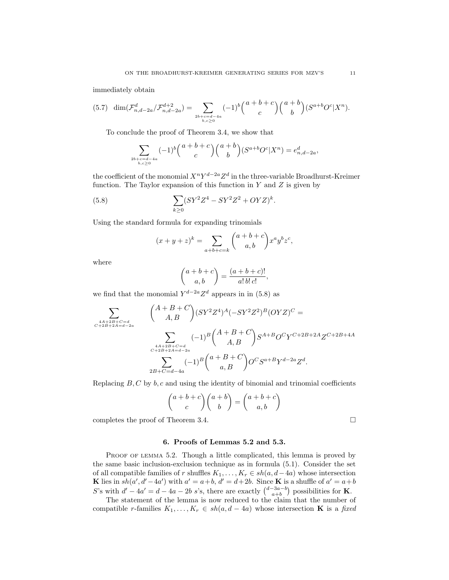immediately obtain

$$
(5.7) \dim(\mathcal{F}_{n,d-2a}^d/\mathcal{F}_{n,d-2a}^{d+2}) = \sum_{2b+c=d-4a \atop b,c\geq 0} (-1)^b {a+b+c \choose c} {a+b \choose b} (S^{a+b}O^c|X^n).
$$

To conclude the proof of Theorem 3.4, we show that

$$
\sum_{2b+c=d-4a \atop b,c\geq 0} (-1)^b {a+b+c \choose c} {a+b \choose b} (S^{a+b}O^c|X^n) = e_{n,d-2a}^d,
$$

the coefficient of the monomial  $X^nY^{d-2a}Z^d$  in the three-variable Broadhurst-Kreimer function. The Taylor expansion of this function in  $Y$  and  $Z$  is given by

(5.8) 
$$
\sum_{k\geq 0} (SY^2Z^4 - SY^2Z^2 + OYZ)^k.
$$

Using the standard formula for expanding trinomials

$$
(x + y + z)^{k} = \sum_{a+b+c=k} {a+b+c \choose a,b} x^{a} y^{b} z^{c},
$$

where

$$
\binom{a+b+c}{a,b} = \frac{(a+b+c)!}{a!\,b!\,c!},
$$

we find that the monomial  $Y^{d-2a}Z^d$  appears in in (5.8) as

$$
\sum_{\substack{A+A+2B+C=d\\C+2B+2A=d-2a}} \binom{A+B+C}{A,B} (SY^2Z^4)^A (-SY^2Z^2)^B (OYZ)^C =
$$
\n
$$
\sum_{\substack{A+A+2B+C=d\\C+2B+2A=d-2a\\2B+C=d-4a}} (-1)^B \binom{A+B+C}{A,B} S^{A+B} O^C Y^{C+2B+2A} Z^{C+2B+4A}
$$

Replacing  $B, C$  by  $b, c$  and using the identity of binomial and trinomial coefficients

$$
\binom{a+b+c}{c}\binom{a+b}{b} = \binom{a+b+c}{a,b}
$$

completes the proof of Theorem 3.4.

### 6. Proofs of Lemmas 5.2 and 5.3.

PROOF OF LEMMA 5.2. Though a little complicated, this lemma is proved by the same basic inclusion-exclusion technique as in formula (5.1). Consider the set of all compatible families of r shuffles  $K_1, \ldots, K_r \in sh(a, d-4a)$  whose intersection **K** lies in  $sh(a', d' - 4a')$  with  $a' = a + b$ ,  $d' = d + 2b$ . Since **K** is a shuffle of  $a' = a + b$ S's with  $d' - 4a' = d - 4a - 2b$  s's, there are exactly  $\binom{d-3a-b}{a+b}$  possibilities for **K**.

The statement of the lemma is now reduced to the claim that the number of compatible r-families  $K_1, \ldots, K_r \in sh(a, d-4a)$  whose intersection **K** is a fixed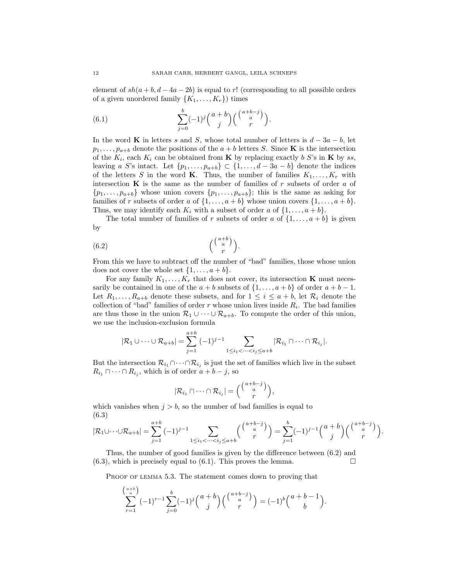element of  $sh(a + b, d - 4a - 2b)$  is equal to r! (corresponding to all possible orders of a given unordered family  $\{K_1, \ldots, K_r\}$  times

(6.1) 
$$
\sum_{j=0}^{b} (-1)^j {a+b \choose j} {a+b-j \choose r}.
$$

In the word K in letters s and S, whose total number of letters is  $d - 3a - b$ , let  $p_1, \ldots, p_{a+b}$  denote the positions of the  $a+b$  letters S. Since **K** is the intersection of the  $K_i$ , each  $K_i$  can be obtained from **K** by replacing exactly b S's in **K** by ss, leaving a S's intact. Let  $\{p_1, \ldots, p_{a+b}\} \subset \{1, \ldots, d-3a-b\}$  denote the indices of the letters S in the word K. Thus, the number of families  $K_1, \ldots, K_r$  with intersection  $\bf{K}$  is the same as the number of families of r subsets of order a of  $\{p_1, \ldots, p_{a+b}\}\$  whose union covers  $\{p_1, \ldots, p_{a+b}\}\$ ; this is the same as asking for families of r subsets of order a of  $\{1, \ldots, a + b\}$  whose union covers  $\{1, \ldots, a + b\}$ . Thus, we may identify each  $K_i$  with a subset of order a of  $\{1, \ldots, a+b\}$ .

The total number of families of r subsets of order a of  $\{1, \ldots, a+b\}$  is given by

$$
(6.2) \qquad \qquad \binom{\binom{a+b}{a}}{r}.
$$

From this we have to subtract off the number of "bad" families, those whose union does not cover the whole set  $\{1, \ldots, a+b\}.$ 

For any family  $K_1, \ldots, K_r$  that does not cover, its intersection **K** must necessarily be contained in one of the  $a + b$  subsets of  $\{1, \ldots, a + b\}$  of order  $a + b - 1$ . Let  $R_1, \ldots, R_{a+b}$  denote these subsets, and for  $1 \leq i \leq a+b$ , let  $\mathcal{R}_i$  denote the collection of "bad" families of order  $r$  whose union lives inside  $R_i$ . The bad families are thus those in the union  $\mathcal{R}_1 \cup \cdots \cup \mathcal{R}_{a+b}$ . To compute the order of this union, we use the inclusion-exclusion formula

$$
|\mathcal{R}_1 \cup \cdots \cup \mathcal{R}_{a+b}| = \sum_{j=1}^{a+b} (-1)^{j-1} \sum_{1 \leq i_1 < \cdots < i_j \leq a+b} |\mathcal{R}_{i_1} \cap \cdots \cap \mathcal{R}_{i_j}|.
$$

But the intersection  $\mathcal{R}_{i_1} \cap \cdots \cap \mathcal{R}_{i_j}$  is just the set of families which live in the subset  $R_{i_1} \cap \cdots \cap R_{i_j}$ , which is of order  $a + b - j$ , so

$$
|\mathcal{R}_{i_1} \cap \cdots \cap \mathcal{R}_{i_j}| = {a+b-j \choose r},
$$

which vanishes when  $j > b$ , so the number of bad families is equal to (6.3)

$$
|\mathcal{R}_1 \cup \cdots \cup \mathcal{R}_{a+b}| = \sum_{j=1}^{a+b} (-1)^{j-1} \sum_{1 \le i_1 < \cdots < i_j \le a+b} \binom{\binom{a+b-j}{a}}{r} = \sum_{j=1}^{b} (-1)^{j-1} \binom{a+b}{j} \binom{\binom{a+b-j}{a}}{r}
$$

.

Thus, the number of good families is given by the difference between (6.2) and  $(6.3)$ , which is precisely equal to  $(6.1)$ . This proves the lemma.

PROOF OF LEMMA 5.3. The statement comes down to proving that

$$
\sum_{r=1}^{a+b} (-1)^{r-1} \sum_{j=0}^{b} (-1)^j {a+b \choose j} {a+b-j \choose a} = (-1)^b {a+b-1 \choose b}.
$$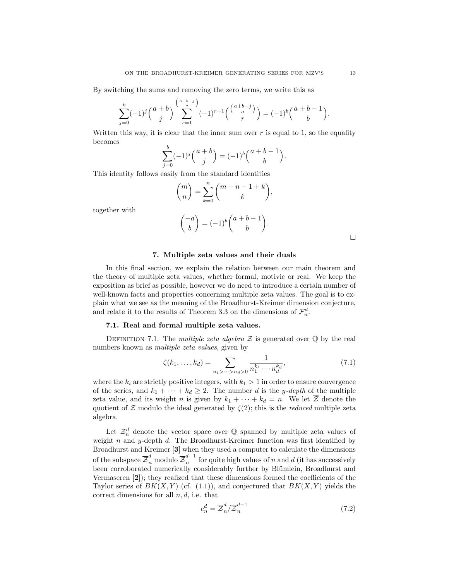By switching the sums and removing the zero terms, we write this as

$$
\sum_{j=0}^{b} (-1)^j {a+b \choose j} \sum_{r=1}^{a+b-j} (-1)^{r-1} {a+b-j \choose n} = (-1)^b {a+b-1 \choose b}.
$$

Written this way, it is clear that the inner sum over  $r$  is equal to 1, so the equality becomes

$$
\sum_{j=0}^{b} (-1)^j {a+b \choose j} = (-1)^b {a+b-1 \choose b}.
$$

This identity follows easily from the standard identities

$$
\binom{m}{n} = \sum_{k=0}^{n} \binom{m-n-1+k}{k},
$$

together with

$$
\binom{-a}{b} = (-1)^b \binom{a+b-1}{b}.
$$

 $\Box$ 

## 7. Multiple zeta values and their duals

In this final section, we explain the relation between our main theorem and the theory of multiple zeta values, whether formal, motivic or real. We keep the exposition as brief as possible, however we do need to introduce a certain number of well-known facts and properties concerning multiple zeta values. The goal is to explain what we see as the meaning of the Broadhurst-Kreimer dimension conjecture, and relate it to the results of Theorem 3.3 on the dimensions of  $\mathcal{F}_n^d$ .

## 7.1. Real and formal multiple zeta values.

DEFINITION 7.1. The multiple zeta algebra  $\mathcal Z$  is generated over  $\mathbb Q$  by the real numbers known as multiple zeta values, given by

$$
\zeta(k_1, \dots, k_d) = \sum_{n_1 > \dots > n_d > 0} \frac{1}{n_1^{k_1} \cdots n_d^{k_d}},\tag{7.1}
$$

where the  $k_i$  are strictly positive integers, with  $k_1 > 1$  in order to ensure convergence of the series, and  $k_1 + \cdots + k_d \geq 2$ . The number d is the y-depth of the multiple zeta value, and its weight n is given by  $k_1 + \cdots + k_d = n$ . We let  $\overline{Z}$  denote the quotient of Z modulo the ideal generated by  $\zeta(2)$ ; this is the *reduced* multiple zeta algebra.

Let  $\mathcal{Z}_n^d$  denote the vector space over  $\mathbb Q$  spanned by multiple zeta values of weight  $n$  and  $y$ -depth  $d$ . The Broadhurst-Kreimer function was first identified by Broadhurst and Kreimer [3] when they used a computer to calculate the dimensions of the subspace  $\overline{\mathcal{Z}}_n^d$  modulo  $\overline{\mathcal{Z}}_n^{d-1}$  $\frac{a}{n}$  for quite high values of n and d (it has successively been corroborated numerically considerably further by Blümlein, Broadhurst and Vermaseren [2]); they realized that these dimensions formed the coefficients of the Taylor series of  $BK(X, Y)$  (cf. (1.1)), and conjectured that  $BK(X, Y)$  yields the correct dimensions for all  $n, d$ , i.e. that

$$
c_n^d = \overline{\mathcal{Z}}_n^d / \overline{\mathcal{Z}}_n^{d-1}
$$
\n(7.2)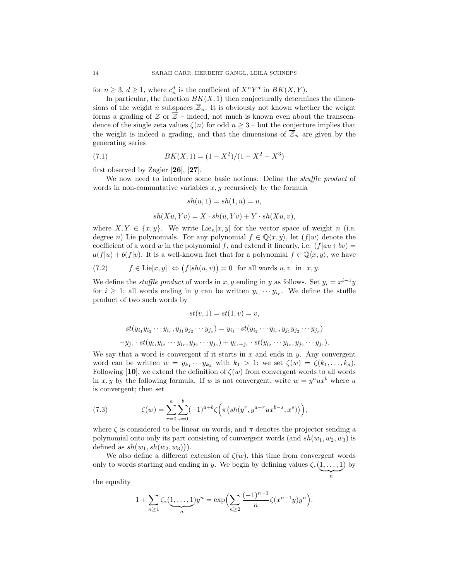for  $n \geq 3$ ,  $d \geq 1$ , where  $c_n^d$  is the coefficient of  $X^nY^d$  in  $BK(X, Y)$ .

In particular, the function  $BK(X, 1)$  then conjecturally determines the dimensions of the weight n subspaces  $\overline{\mathcal{Z}}_n$ . It is obviously not known whether the weight forms a grading of  $\mathcal Z$  or  $\overline{\mathcal Z}$  – indeed, not much is known even about the transcendence of the single zeta values  $\zeta(n)$  for odd  $n \geq 3$  – but the conjecture implies that the weight is indeed a grading, and that the dimensions of  $\overline{z}_n$  are given by the generating series

(7.1) 
$$
BK(X,1) = (1 - X^2)/(1 - X^2 - X^3)
$$

first observed by Zagier [26], [27].

We now need to introduce some basic notions. Define the *shuffle product* of words in non-commutative variables  $x, y$  recursively by the formula

$$
sh(u,1) = sh(1,u) = u,
$$

 $sh(Xu, Yv) = X \cdot sh(u, Yv) + Y \cdot sh(Xu, v),$ 

where  $X, Y \in \{x, y\}$ . We write Lie<sub>n</sub> $[x, y]$  for the vector space of weight n (i.e. degree n) Lie polynomials. For any polynomial  $f \in \mathbb{Q}\langle x, y \rangle$ , let  $(f|w)$  denote the coefficient of a word w in the polynomial f, and extend it linearly, i.e.  $(f|au+bv)$  =  $a(f|u) + b(f|v)$ . It is a well-known fact that for a polynomial  $f \in \mathbb{Q}\langle x, y \rangle$ , we have

(7.2) 
$$
f \in \text{Lie}[x, y] \iff (f|sh(u, v)) = 0
$$
 for all words  $u, v$  in  $x, y$ .

We define the *stuffle product* of words in x, y ending in y as follows. Set  $y_i = x^{i-1}y$ for  $i \geq 1$ ; all words ending in y can be written  $y_{i_1} \cdots y_{i_r}$ . We define the stuffle product of two such words by

$$
st(v, 1) = st(1, v) = v,
$$
  

$$
st(y_{i_1}y_{i_2}\cdots y_{i_r}, y_{j_1}y_{j_2}\cdots y_{j_s}) = y_{i_1}\cdot st(y_{i_2}\cdots y_{i_r}, y_{j_1}y_{j_2}\cdots y_{j_s})
$$
  

$$
+y_{j_1}\cdot st(y_{i_1}y_{i_2}\cdots y_{i_r}, y_{j_2}\cdots y_{j_s}) + y_{i_1+j_1}\cdot st(y_{i_2}\cdots y_{i_r}, y_{j_2}\cdots y_{j_s}).
$$

We say that a word is convergent if it starts in  $x$  and ends in  $y$ . Any convergent word can be written  $w = y_{k_1} \cdots y_{k_d}$  with  $k_1 > 1$ ; we set  $\zeta(w) = \zeta(k_1, \ldots, k_d)$ . Following [10], we extend the definition of  $\zeta(w)$  from convergent words to all words in x, y by the following formula. If w is not convergent, write  $w = y^a u x^b$  where u is convergent; then set

(7.3) 
$$
\zeta(w) = \sum_{r=0}^{a} \sum_{s=0}^{b} (-1)^{a+b} \zeta\Big(\pi\big(sh(y^r, y^{a-r}ux^{b-s}, x^s)\big)\Big),
$$

where  $\zeta$  is considered to be linear on words, and  $\pi$  denotes the projector sending a polynomial onto only its part consisting of convergent words (and  $sh(w_1, w_2, w_3)$  is defined as  $sh(w_1, sh(w_2, w_3))$ .

We also define a different extension of  $\zeta(w)$ , this time from convergent words only to words starting and ending in y. We begin by defining values  $\zeta_*(1,\ldots,1)$ ) by

> $\sum_{n}$ n

the equality

$$
1 + \sum_{n \ge 1} \zeta_*(\underbrace{1, \dots, 1}_{n}) y^n = \exp\Bigl(\sum_{n \ge 2} \frac{(-1)^{n-1}}{n} \zeta(x^{n-1}y) y^n\Bigr).
$$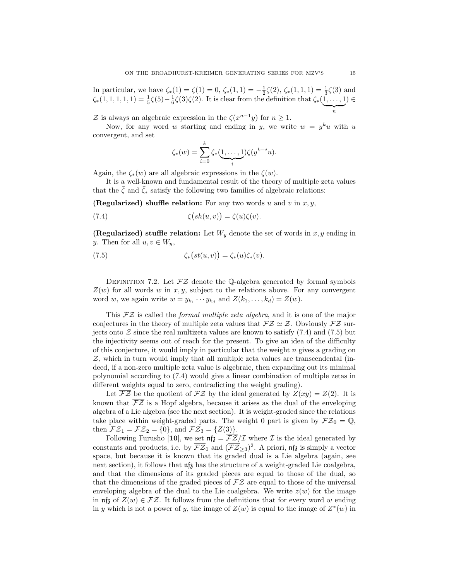In particular, we have  $\zeta_*(1) = \zeta(1) = 0$ ,  $\zeta_*(1,1) = -\frac{1}{2}\zeta(2)$ ,  $\zeta_*(1,1,1) = \frac{1}{3}\zeta(3)$  and  $\zeta_*(1,1,1,1,1) = \frac{1}{5}\zeta(5) - \frac{1}{6}\zeta(3)\zeta(2)$ . It is clear from the definition that  $\zeta_*(1,\ldots,1)$  $\sum_{n}$ ) ∈

Z is always an algebraic expression in the  $\zeta(x^{n-1}y)$  for  $n \geq 1$ .

Now, for any word w starting and ending in y, we write  $w = y^k u$  with u convergent, and set

$$
\zeta_*(w) = \sum_{i=0}^{\kappa} \zeta_*(\underbrace{1,\ldots,1}_{i}) \zeta(y^{k-i}u).
$$

Again, the  $\zeta_*(w)$  are all algebraic expressions in the  $\zeta(w)$ .

It is a well-known and fundamental result of the theory of multiple zeta values that the  $\bar{\zeta}$  and  $\bar{\zeta}_*$  satisfy the following two families of algebraic relations:

(Regularized) shuffle relation: For any two words u and v in  $x, y$ ,

 $\mathbf{r}$ 

(7.4) 
$$
\zeta(sh(u,v)) = \zeta(u)\zeta(v).
$$

(Regularized) stuffle relation: Let  $W_y$  denote the set of words in  $x, y$  ending in y. Then for all  $u, v \in W_y$ ,

(7.5) 
$$
\zeta_*(st(u,v)) = \zeta_*(u)\zeta_*(v).
$$

DEFINITION 7.2. Let  $\mathcal{FZ}$  denote the Q-algebra generated by formal symbols  $Z(w)$  for all words w in x, y, subject to the relations above. For any convergent word w, we again write  $w = y_{k_1} \cdots y_{k_d}$  and  $Z(k_1, \ldots, k_d) = Z(w)$ .

This  $\mathcal{FZ}$  is called the *formal multiple zeta algebra*, and it is one of the major conjectures in the theory of multiple zeta values that  $\mathcal{FZ} \simeq \mathcal{Z}$ . Obviously  $\mathcal{FZ}$  surjects onto  $\mathcal Z$  since the real multizeta values are known to satisfy (7.4) and (7.5) but the injectivity seems out of reach for the present. To give an idea of the difficulty of this conjecture, it would imply in particular that the weight  $n$  gives a grading on  $Z$ , which in turn would imply that all multiple zeta values are transcendental (indeed, if a non-zero multiple zeta value is algebraic, then expanding out its minimal polynomial according to (7.4) would give a linear combination of multiple zetas in different weights equal to zero, contradicting the weight grading).

Let  $\overline{\mathcal{FZ}}$  be the quotient of  $\mathcal{FZ}$  by the ideal generated by  $Z(xy) = Z(2)$ . It is known that  $\overline{\mathcal{FZ}}$  is a Hopf algebra, because it arises as the dual of the enveloping algebra of a Lie algebra (see the next section). It is weight-graded since the relations take place within weight-graded parts. The weight 0 part is given by  $\overline{\mathcal{FZ}}_0 = \mathbb{Q}$ , then  $\overline{\mathcal{FZ}}_1 = \overline{\mathcal{FZ}}_2 = \{0\}$ , and  $\overline{\mathcal{FZ}}_3 = \{Z(3)\}.$ 

Following Furusho [10], we set  $\pi \bar{\mathfrak{z}} = \bar{\mathcal{FZ}}/\mathcal{I}$  where  $\mathcal I$  is the ideal generated by constants and products, i.e. by  $\overline{\mathcal{FZ}}_0$  and  $(\overline{\mathcal{FZ}}_{\geq 3})^2$ . A priori,  $\mathfrak{n}f_3$  is simply a vector space, but because it is known that its graded dual is a Lie algebra (again, see next section), it follows that  $\eta_{\lambda}$  has the structure of a weight-graded Lie coalgebra, and that the dimensions of its graded pieces are equal to those of the dual, so that the dimensions of the graded pieces of  $\overline{\mathcal{FZ}}$  are equal to those of the universal enveloping algebra of the dual to the Lie coalgebra. We write  $z(w)$  for the image in  $\mathfrak{nf}_\delta$  of  $Z(w) \in \mathcal{FZ}$ . It follows from the definitions that for every word w ending in y which is not a power of y, the image of  $Z(w)$  is equal to the image of  $Z^*(w)$  in

n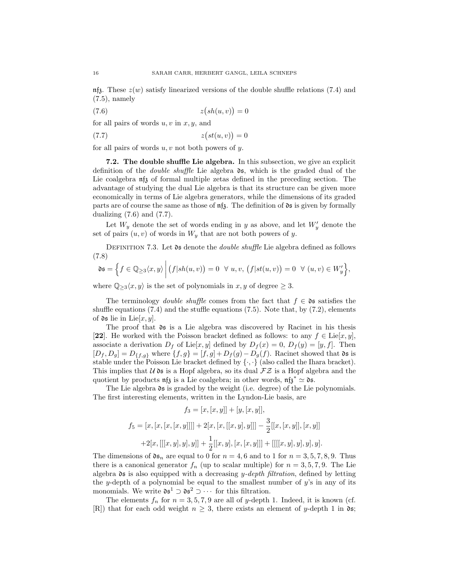$\mathfrak{m}$ <sub>1</sub>. These  $z(w)$  satisfy linearized versions of the double shuffle relations (7.4) and (7.5), namely

$$
(7.6)\qquad \qquad z\big(sh(u,v)\big) = 0
$$

for all pairs of words  $u, v$  in  $x, y$ , and

$$
(7.7) \t\t\t z(st(u,v)) = 0
$$

for all pairs of words  $u, v$  not both powers of  $y$ .

7.2. The double shuffle Lie algebra. In this subsection, we give an explicit definition of the *double shuffle* Lie algebra  $\delta$ s, which is the graded dual of the Lie coalgebra  $\eta_{\mathfrak{z}}$  of formal multiple zetas defined in the preceding section. The advantage of studying the dual Lie algebra is that its structure can be given more economically in terms of Lie algebra generators, while the dimensions of its graded parts are of course the same as those of  $\pi \mathfrak{z}$ . The definition of  $\mathfrak{ds}$  is given by formally dualizing  $(7.6)$  and  $(7.7)$ .

Let  $W_y$  denote the set of words ending in y as above, and let  $W'_y$  denote the set of pairs  $(u, v)$  of words in  $W_y$  that are not both powers of y.

DEFINITION 7.3. Let  $\mathfrak d$  denote the *double shuffle* Lie algebra defined as follows (7.8)

$$
\mathfrak{ds} = \left\{ f \in \mathbb{Q}_{\geq 3} \langle x, y \rangle \middle| (f|sh(u,v)) = 0 \quad \forall u, v, (f|st(u,v)) = 0 \quad \forall (u,v) \in W'_y \right\},\
$$

where  $\mathbb{Q}_{\geq 3}\langle x, y \rangle$  is the set of polynomials in  $x, y$  of degree  $\geq 3$ .

The terminology *double shuffle* comes from the fact that  $f \in \mathfrak{ds}$  satisfies the shuffle equations  $(7.4)$  and the stuffle equations  $(7.5)$ . Note that, by  $(7.2)$ , elements of  $\mathfrak{ds}$  lie in Lie $[x, y]$ .

The proof that ds is a Lie algebra was discovered by Racinet in his thesis [22]. He worked with the Poisson bracket defined as follows: to any  $f \in \text{Lie}[x, y]$ , associate a derivation  $D_f$  of Lie $[x, y]$  defined by  $D_f(x) = 0$ ,  $D_f(y) = [y, f]$ . Then  $[D_f, D_g] = D_{\{f,g\}}$  where  $\{f,g\} = [f,g] + D_f(g) - D_g(f)$ . Racinet showed that **0s** is stable under the Poisson Lie bracket defined by  $\{\cdot,\cdot\}$  (also called the Ihara bracket). This implies that  $U \mathfrak{ds}$  is a Hopf algebra, so its dual  $\mathcal{FZ}$  is a Hopf algebra and the quotient by products  $\eta_{\mathfrak{z}}$  is a Lie coalgebra; in other words,  $\eta_{\mathfrak{z}}^* \simeq \mathfrak{ds}$ .

The Lie algebra  $\mathfrak d$  is graded by the weight (i.e. degree) of the Lie polynomials. The first interesting elements, written in the Lyndon-Lie basis, are

$$
f_3 = [x, [x, y]] + [y, [x, y]],
$$
  
\n
$$
f_5 = [x, [x, [x, [x, y]]]] + 2[x, [x, [[x, y], y]]] - \frac{3}{2}[[x, [x, y]], [x, y]]
$$
  
\n
$$
+2[x, [[[x, y], y], y]] + \frac{1}{2}[[x, y], [x, [x, y]]] + [[[x, y], y], y].
$$

The dimensions of  $\mathfrak{ds}_n$  are equal to 0 for  $n = 4, 6$  and to 1 for  $n = 3, 5, 7, 8, 9$ . Thus there is a canonical generator  $f_n$  (up to scalar multiple) for  $n = 3, 5, 7, 9$ . The Lie algebra  $\mathfrak d$ s is also equipped with a decreasing y-depth filtration, defined by letting the y-depth of a polynomial be equal to the smallest number of  $y$ 's in any of its monomials. We write  $\mathfrak{ds}^1 \supset \mathfrak{ds}^2 \supset \cdots$  for this filtration.

The elements  $f_n$  for  $n = 3, 5, 7, 9$  are all of y-depth 1. Indeed, it is known (cf. [R]) that for each odd weight  $n \geq 3$ , there exists an element of y-depth 1 in  $\mathfrak{ds}$ ;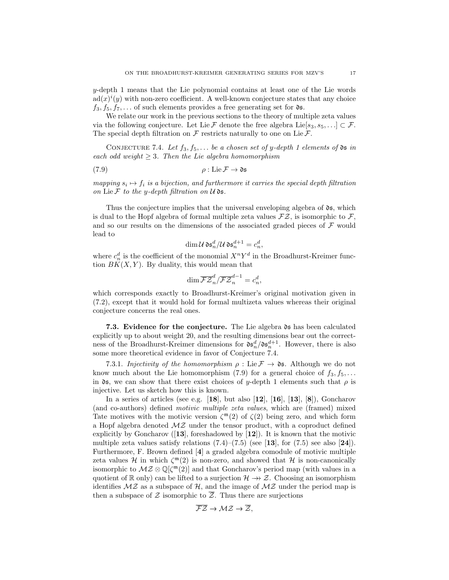y-depth 1 means that the Lie polynomial contains at least one of the Lie words  $ad(x)^{i}(y)$  with non-zero coefficient. A well-known conjecture states that any choice  $f_3, f_5, f_7, \ldots$  of such elements provides a free generating set for  $\mathfrak{ds}$ .

We relate our work in the previous sections to the theory of multiple zeta values via the following conjecture. Let Lie F denote the free algebra Lie $[s_3, s_5, \ldots] \subset \mathcal{F}$ . The special depth filtration on  $\mathcal F$  restricts naturally to one on Lie  $\mathcal F$ .

CONJECTURE 7.4. Let  $f_3, f_5, \ldots$  be a chosen set of y-depth 1 elements of  $\mathfrak d$  in each odd weight  $\geq 3$ . Then the Lie algebra homomorphism

$$
\rho: \text{Lie}\,\mathcal{F} \to \mathfrak{ds}
$$

mapping  $s_i \mapsto f_i$  is a bijection, and furthermore it carries the special depth filtration on Lie  $\mathcal F$  to the y-depth filtration on  $\mathcal U$  ds.

Thus the conjecture implies that the universal enveloping algebra of  $\mathfrak{ds}$ , which is dual to the Hopf algebra of formal multiple zeta values  $\mathcal{FZ}$ , is isomorphic to  $\mathcal{F}$ , and so our results on the dimensions of the associated graded pieces of  $\mathcal F$  would lead to

$$
\dim{\mathcal U}\mathfrak{ds}_n^d/{\mathcal U}\mathfrak{ds}_n^{d+1}=c_n^d,
$$

where  $c_n^d$  is the coefficient of the monomial  $X^nY^d$  in the Broadhurst-Kreimer function  $BK(X, Y)$ . By duality, this would mean that

$$
\dim \overline{\mathcal{FZ}}_n^d / \overline{\mathcal{FZ}}_n^{d-1} = c_n^d,
$$

which corresponds exactly to Broadhurst-Kreimer's original motivation given in (7.2), except that it would hold for formal multizeta values whereas their original conjecture concerns the real ones.

7.3. Evidence for the conjecture. The Lie algebra  $\mathfrak d$  as been calculated explicitly up to about weight 20, and the resulting dimensions bear out the correctness of the Broadhurst-Kreimer dimensions for  $\mathfrak{ds}_n^d / \mathfrak{ds}_n^{d+1}$ . However, there is also some more theoretical evidence in favor of Conjecture 7.4.

7.3.1. Injectivity of the homomorphism  $\rho : \text{Lie} \mathcal{F} \to \mathfrak{ds}$ . Although we do not know much about the Lie homomorphism (7.9) for a general choice of  $f_3, f_5, \ldots$ in  $\delta$ s, we can show that there exist choices of y-depth 1 elements such that  $\rho$  is injective. Let us sketch how this is known.

In a series of articles (see e.g.  $[18]$ , but also  $[12]$ ,  $[16]$ ,  $[13]$ ,  $[8]$ ), Goncharov (and co-authors) defined motivic multiple zeta values, which are (framed) mixed Tate motives with the motivic version  $\zeta^{\mathfrak{m}}(2)$  of  $\zeta(2)$  being zero, and which form a Hopf algebra denoted  $\mathcal{MZ}$  under the tensor product, with a coproduct defined explicitly by Goncharov  $([13]$ , foreshadowed by  $[12]$ ). It is known that the motivic multiple zeta values satisfy relations  $(7.4)$ – $(7.5)$  (see [13], for  $(7.5)$  see also [24]). Furthermore, F. Brown defined [4] a graded algebra comodule of motivic multiple zeta values  $\mathcal H$  in which  $\zeta^{\mathfrak{m}}(2)$  is non-zero, and showed that  $\mathcal H$  is non-canonically isomorphic to  $MZ \otimes \mathbb{Q}[\zeta^{\mathfrak{m}}(2)]$  and that Goncharov's period map (with values in a quotient of R only) can be lifted to a surjection  $\mathcal{H} \rightarrow \mathcal{Z}$ . Choosing an isomorphism identifies  $M\mathcal{Z}$  as a subspace of  $\mathcal{H}$ , and the image of  $M\mathcal{Z}$  under the period map is then a subspace of  $\mathcal Z$  isomorphic to  $\overline{\mathcal Z}$ . Thus there are surjections

$$
\overline{\mathcal{FZ}} \to \mathcal{MZ} \to \overline{\mathcal{Z}},
$$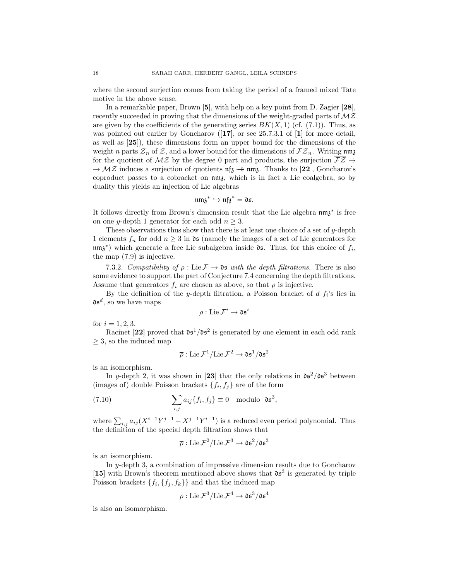where the second surjection comes from taking the period of a framed mixed Tate motive in the above sense.

In a remarkable paper, Brown [5], with help on a key point from D. Zagier [28], recently succeeded in proving that the dimensions of the weight-graded parts of  $M\mathcal{Z}$ are given by the coefficients of the generating series  $BK(X, 1)$  (cf. (7.1)). Thus, as was pointed out earlier by Goncharov  $(17)$ , or see 25.7.3.1 of [1] for more detail, as well as [25]), these dimensions form an upper bound for the dimensions of the weight n parts  $\overline{\mathcal{Z}}_n$  of  $\overline{\mathcal{Z}}_n$ , and a lower bound for the dimensions of  $\overline{\mathcal{FZ}}_n$ . Writing nm<sub>3</sub> for the quotient of  $MZ$  by the degree 0 part and products, the surjection  $\overline{\mathcal{FZ}}$   $\rightarrow$  $\rightarrow$  MZ induces a surjection of quotients  $\pi_{\mathfrak{z}} \rightarrow \pi_{\mathfrak{z}}$ . Thanks to [22], Goncharov's coproduct passes to a cobracket on nmz, which is in fact a Lie coalgebra, so by duality this yields an injection of Lie algebras

$$
\mathfrak{nm}\mathfrak{z}^* \hookrightarrow \mathfrak{nf}\mathfrak{z}^* = \mathfrak{ds}.
$$

It follows directly from Brown's dimension result that the Lie algebra nm<sub>3</sub><sup>\*</sup> is free on one y-depth 1 generator for each odd  $n \geq 3$ .

These observations thus show that there is at least one choice of a set of y-depth 1 elements  $f_n$  for odd  $n \geq 3$  in  $\mathfrak{ds}$  (namely the images of a set of Lie generators for  $\mathfrak{mmg}^*$ ) which generate a free Lie subalgebra inside **05**. Thus, for this choice of  $f_i$ , the map (7.9) is injective.

7.3.2. Compatibility of  $\rho$ : Lie  $\mathcal{F} \to \mathfrak{ds}$  with the depth filtrations. There is also some evidence to support the part of Conjecture 7.4 concerning the depth filtrations. Assume that generators  $f_i$  are chosen as above, so that  $\rho$  is injective.

By the definition of the y-depth filtration, a Poisson bracket of  $d f_i$ 's lies in  $\mathfrak{ds}^d$ , so we have maps

$$
\rho: \text{Lie}\,\mathcal{F}^i \to \mathfrak{ds}^i
$$

for  $i = 1, 2, 3$ .

Racinet [22] proved that  $\mathfrak{ds}^1/\mathfrak{ds}^2$  is generated by one element in each odd rank  $\geq$  3, so the induced map

$$
\overline{\rho}: \operatorname{Lie} \mathcal{F}^1/\!\operatorname{Lie} \mathcal{F}^2 \to \mathfrak{ds}^1/\mathfrak{ds}^2
$$

is an isomorphism.

In y-depth 2, it was shown in [23] that the only relations in  $\mathfrak{ds}^2/\mathfrak{ds}^3$  between (images of) double Poisson brackets  $\{f_i, f_j\}$  are of the form

(7.10) 
$$
\sum_{i,j} a_{ij} \{f_i, f_j\} \equiv 0 \text{ modulo } \mathfrak{ds}^3,
$$

where  $\sum_{i,j} a_{ij} (X^{i-1}Y^{j-1} - X^{j-1}Y^{i-1})$  is a reduced even period polynomial. Thus the definition of the special depth filtration shows that

$$
\overline{\rho}: \operatorname{Lie} \mathcal{F}^2/\!\operatorname{Lie} \mathcal{F}^3 \to \mathfrak{ds}^2/\mathfrak{ds}^3
$$

is an isomorphism.

In  $y$ -depth 3, a combination of impressive dimension results due to Goncharov [15] with Brown's theorem mentioned above shows that  $\mathfrak{ds}^3$  is generated by triple Poisson brackets  $\{f_i, \{f_j, f_k\}\}\$ and that the induced map

$$
\overline{\rho}: \operatorname{Lie} \mathcal{F}^3/\mathrm{Lie} \, \mathcal{F}^4 \to \mathfrak{ds}^3/\mathfrak{ds}^4
$$

is also an isomorphism.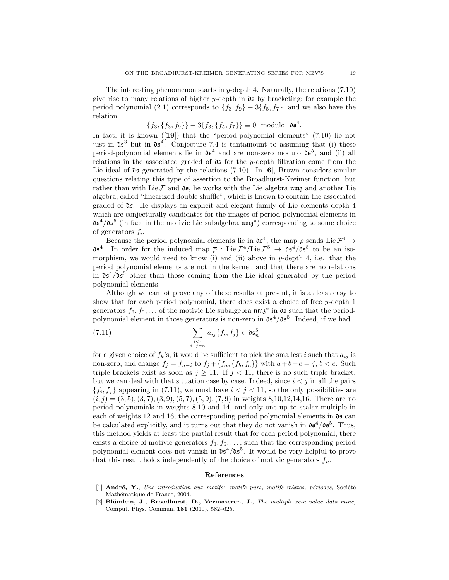The interesting phenomenon starts in y-depth 4. Naturally, the relations  $(7.10)$ give rise to many relations of higher  $y$ -depth in  $\mathfrak{ds}$  by bracketing; for example the period polynomial (2.1) corresponds to  $\{f_3, f_9\}$  –  $3\{f_5, f_7\}$ , and we also have the relation

$$
\{f_3, \{f_3, f_9\}\} - 3\{f_3, \{f_5, f_7\}\} \equiv 0 \text{ modulo } \mathfrak{ds}^4.
$$

In fact, it is known ([19]) that the "period-polynomial elements" (7.10) lie not just in  $\mathfrak{ds}^3$  but in  $\mathfrak{ds}^4$ . Conjecture 7.4 is tantamount to assuming that (i) these period-polynomial elements lie in  $\mathfrak{ds}^4$  and are non-zero modulo  $\mathfrak{ds}^5$ , and (ii) all relations in the associated graded of  $\delta$ s for the y-depth filtration come from the Lie ideal of  $\mathfrak{ds}$  generated by the relations (7.10). In [6], Brown considers similar questions relating this type of assertion to the Broadhurst-Kreimer function, but rather than with Lie F and  $\mathfrak{ds}$ , he works with the Lie algebra nm<sub>3</sub> and another Lie algebra, called "linearized double shuffle", which is known to contain the associated graded of ds. He displays an explicit and elegant family of Lie elements depth 4 which are conjecturally candidates for the images of period polynomial elements in  $\delta \mathfrak{s}^4 / \delta \mathfrak{s}^5$  (in fact in the motivic Lie subalgebra  $\mathfrak{nm} \mathfrak{z}^*$ ) corresponding to some choice of generators  $f_i$ .

Because the period polynomial elements lie in  $\mathfrak{ds}^4$ , the map  $\rho$  sends Lie  $\mathcal{F}^4 \to$  $\mathfrak{ds}^4$ . In order for the induced map  $\bar{\rho}$  : Lie  $\mathcal{F}^4$ /Lie  $\mathcal{F}^5 \to \mathfrak{ds}^4/\mathfrak{ds}^5$  to be an isomorphism, we would need to know (i) and (ii) above in  $y$ -depth 4, i.e. that the period polynomial elements are not in the kernel, and that there are no relations in  $\mathfrak{ds}^4/\mathfrak{ds}^5$  other than those coming from the Lie ideal generated by the period polynomial elements.

Although we cannot prove any of these results at present, it is at least easy to show that for each period polynomial, there does exist a choice of free  $y$ -depth 1 generators  $f_3, f_5, \ldots$  of the motivic Lie subalgebra  $\mathfrak{nm}^*$  in  $\mathfrak{ds}$  such that the periodpolynomial element in those generators is non-zero in  $\mathfrak{ds}^4/\mathfrak{ds}^5$ . Indeed, if we had

(7.11) 
$$
\sum_{\substack{i < j \\ i+j=n}} a_{ij} \{f_i, f_j\} \in \mathfrak{d} \mathfrak{s}_n^5
$$

for a given choice of  $f_k$ 's, it would be sufficient to pick the smallest i such that  $a_{ij}$  is non-zero, and change  $f_j = f_{n-i}$  to  $f_j + \{f_a, \{f_b, f_c\}\}\$  with  $a+b+c=j$ ,  $b < c$ . Such triple brackets exist as soon as  $j \ge 11$ . If  $j < 11$ , there is no such triple bracket, but we can deal with that situation case by case. Indeed, since  $i < j$  in all the pairs  $\{f_i, f_j\}$  appearing in (7.11), we must have  $i < j < 11$ , so the only possibilities are  $(i, j) = (3, 5), (3, 7), (3, 9), (5, 7), (5, 9), (7, 9)$  in weights 8,10,12,14,16. There are no period polynomials in weights 8,10 and 14, and only one up to scalar multiple in each of weights 12 and 16; the corresponding period polynomial elements in  $\mathfrak{ds}$  can be calculated explicitly, and it turns out that they do not vanish in  $\mathfrak{ds}^4/\mathfrak{ds}^5$ . Thus, this method yields at least the partial result that for each period polynomial, there exists a choice of motivic generators  $f_3, f_5, \ldots$ , such that the corresponding period polynomial element does not vanish in  $\mathfrak{ds}^4/\mathfrak{ds}^5$ . It would be very helpful to prove that this result holds independently of the choice of motivic generators  $f_n$ .

#### References

- $[1]$  André, Y., Une introduction aux motifs: motifs purs, motifs mixtes, périodes, Société Mathématique de France, 2004.
- $[2]$  Blümlein, J., Broadhurst, D., Vermaseren, J., The multiple zeta value data mine, Comput. Phys. Commun. 181 (2010), 582–625.